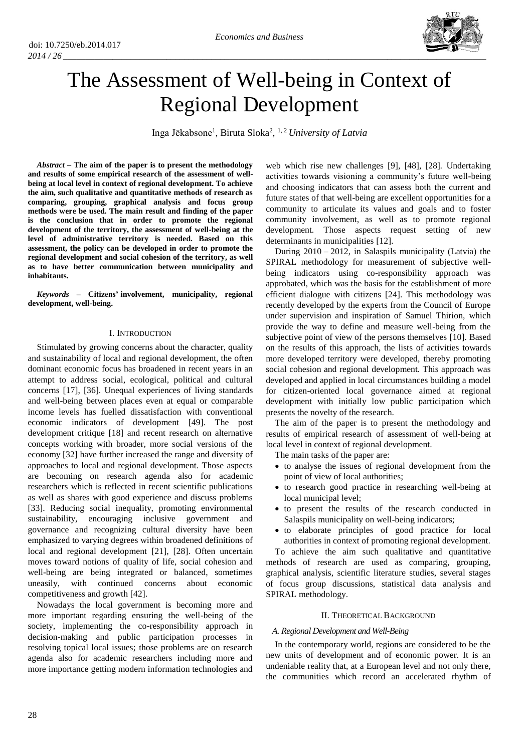

# The Assessment of Well-being in Context of Regional Development

Inga Jēkabsone<sup>1</sup>, Biruta Sloka<sup>2</sup>, <sup>1, 2</sup> University of Latvia

*Abstract –* **The aim of the paper is to present the methodology and results of some empirical research of the assessment of wellbeing at local level in context of regional development. To achieve the aim, such qualitative and quantitative methods of research as comparing, grouping, graphical analysis and focus group methods were be used. The main result and finding of the paper is the conclusion that in order to promote the regional development of the territory, the assessment of well-being at the level of administrative territory is needed. Based on this assessment, the policy can be developed in order to promote the regional development and social cohesion of the territory, as well as to have better communication between municipality and inhabitants.** 

*Keywords* **– Citizens' involvement, municipality, regional development, well-being.**

#### I. INTRODUCTION

Stimulated by growing concerns about the character, quality and sustainability of local and regional development, the often dominant economic focus has broadened in recent years in an attempt to address social, ecological, political and cultural concerns [17], [36]. Unequal experiences of living standards and well-being between places even at equal or comparable income levels has fuelled dissatisfaction with conventional economic indicators of development [49]. The post development critique [18] and recent research on alternative concepts working with broader, more social versions of the economy [32] have further increased the range and diversity of approaches to local and regional development. Those aspects are becoming on research agenda also for academic researchers which is reflected in recent scientific publications as well as shares with good experience and discuss problems [33]. Reducing social inequality, promoting environmental sustainability, encouraging inclusive government and governance and recognizing cultural diversity have been emphasized to varying degrees within broadened definitions of local and regional development [21], [28]. Often uncertain moves toward notions of quality of life, social cohesion and well-being are being integrated or balanced, sometimes uneasily, with continued concerns about economic competitiveness and growth [42].

Nowadays the local government is becoming more and more important regarding ensuring the well-being of the society, implementing the co-responsibility approach in decision-making and public participation processes in resolving topical local issues; those problems are on research agenda also for academic researchers including more and more importance getting modern information technologies and web which rise new challenges [9], [48], [28]*.* Undertaking activities towards visioning a community's future well-being and choosing indicators that can assess both the current and future states of that well-being are excellent opportunities for a community to articulate its values and goals and to foster community involvement, as well as to promote regional development. Those aspects request setting of new determinants in municipalities [12].

During  $2010 - 2012$ , in Salaspils municipality (Latvia) the SPIRAL methodology for measurement of subjective wellbeing indicators using co-responsibility approach was approbated, which was the basis for the establishment of more efficient dialogue with citizens [24]. This methodology was recently developed by the experts from the Council of Europe under supervision and inspiration of Samuel Thirion, which provide the way to define and measure well-being from the subjective point of view of the persons themselves [10]. Based on the results of this approach, the lists of activities towards more developed territory were developed, thereby promoting social cohesion and regional development. This approach was developed and applied in local circumstances building a model for citizen-oriented local governance aimed at regional development with initially low public participation which presents the novelty of the research.

The aim of the paper is to present the methodology and results of empirical research of assessment of well-being at local level in context of regional development.

The main tasks of the paper are:

- to analyse the issues of regional development from the point of view of local authorities;
- to research good practice in researching well-being at local municipal level;
- to present the results of the research conducted in Salaspils municipality on well-being indicators;
- to elaborate principles of good practice for local authorities in context of promoting regional development.

To achieve the aim such qualitative and quantitative methods of research are used as comparing, grouping, graphical analysis, scientific literature studies, several stages of focus group discussions, statistical data analysis and SPIRAL methodology.

#### II. THEORETICAL BACKGROUND

## *A. Regional Development and Well-Being*

In the contemporary world, regions are considered to be the new units of development and of economic power. It is an undeniable reality that, at a European level and not only there, the communities which record an accelerated rhythm of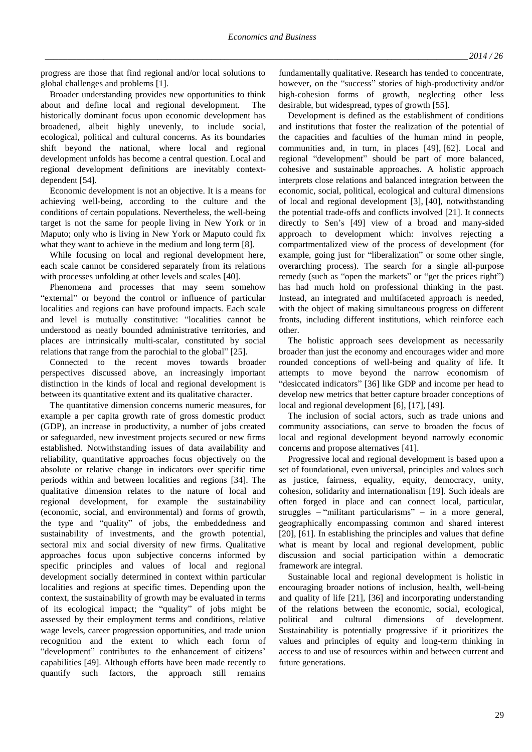progress are those that find regional and/or local solutions to global challenges and problems [1].

Broader understanding provides new opportunities to think about and define local and regional development. The historically dominant focus upon economic development has broadened, albeit highly unevenly, to include social, ecological, political and cultural concerns. As its boundaries shift beyond the national, where local and regional development unfolds has become a central question. Local and regional development definitions are inevitably contextdependent [54].

Economic development is not an objective. It is a means for achieving well-being, according to the culture and the conditions of certain populations. Nevertheless, the well-being target is not the same for people living in New York or in Maputo; only who is living in New York or Maputo could fix what they want to achieve in the medium and long term [8].

While focusing on local and regional development here, each scale cannot be considered separately from its relations with processes unfolding at other levels and scales [40].

Phenomena and processes that may seem somehow "external" or beyond the control or influence of particular localities and regions can have profound impacts. Each scale and level is mutually constitutive: "localities cannot be understood as neatly bounded administrative territories, and places are intrinsically multi-scalar, constituted by social relations that range from the parochial to the global" [25].

Connected to the recent moves towards broader perspectives discussed above, an increasingly important distinction in the kinds of local and regional development is between its quantitative extent and its qualitative character.

The quantitative dimension concerns numeric measures, for example a per capita growth rate of gross domestic product (GDP), an increase in productivity, a number of jobs created or safeguarded, new investment projects secured or new firms established. Notwithstanding issues of data availability and reliability, quantitative approaches focus objectively on the absolute or relative change in indicators over specific time periods within and between localities and regions [34]. The qualitative dimension relates to the nature of local and regional development, for example the sustainability (economic, social, and environmental) and forms of growth, the type and "quality" of jobs, the embeddedness and sustainability of investments, and the growth potential, sectoral mix and social diversity of new firms. Qualitative approaches focus upon subjective concerns informed by specific principles and values of local and regional development socially determined in context within particular localities and regions at specific times. Depending upon the context, the sustainability of growth may be evaluated in terms of its ecological impact; the "quality" of jobs might be assessed by their employment terms and conditions, relative wage levels, career progression opportunities, and trade union recognition and the extent to which each form of "development" contributes to the enhancement of citizens' capabilities [49]. Although efforts have been made recently to quantify such factors, the approach still remains

fundamentally qualitative. Research has tended to concentrate, however, on the "success" stories of high-productivity and/or high-cohesion forms of growth, neglecting other less desirable, but widespread, types of growth [55].

Development is defined as the establishment of conditions and institutions that foster the realization of the potential of the capacities and faculties of the human mind in people, communities and, in turn, in places [49], [62]. Local and regional "development" should be part of more balanced, cohesive and sustainable approaches. A holistic approach interprets close relations and balanced integration between the economic, social, political, ecological and cultural dimensions of local and regional development [3], [40], notwithstanding the potential trade-offs and conflicts involved [21]. It connects directly to Sen's [49] view of a broad and many-sided approach to development which: involves rejecting a compartmentalized view of the process of development (for example, going just for "liberalization" or some other single, overarching process). The search for a single all-purpose remedy (such as "open the markets" or "get the prices right") has had much hold on professional thinking in the past. Instead, an integrated and multifaceted approach is needed, with the object of making simultaneous progress on different fronts, including different institutions, which reinforce each other.

The holistic approach sees development as necessarily broader than just the economy and encourages wider and more rounded conceptions of well-being and quality of life. It attempts to move beyond the narrow economism of "desiccated indicators" [36] like GDP and income per head to develop new metrics that better capture broader conceptions of local and regional development [6], [17], [49].

The inclusion of social actors, such as trade unions and community associations, can serve to broaden the focus of local and regional development beyond narrowly economic concerns and propose alternatives [41].

Progressive local and regional development is based upon a set of foundational, even universal, principles and values such as justice, fairness, equality, equity, democracy, unity, cohesion, solidarity and internationalism [19]. Such ideals are often forged in place and can connect local, particular, struggles – "militant particularisms" – in a more general, geographically encompassing common and shared interest [20], [61]. In establishing the principles and values that define what is meant by local and regional development, public discussion and social participation within a democratic framework are integral.

Sustainable local and regional development is holistic in encouraging broader notions of inclusion, health, well-being and quality of life [21], [36] and incorporating understanding of the relations between the economic, social, ecological, political and cultural dimensions of development. Sustainability is potentially progressive if it prioritizes the values and principles of equity and long-term thinking in access to and use of resources within and between current and future generations.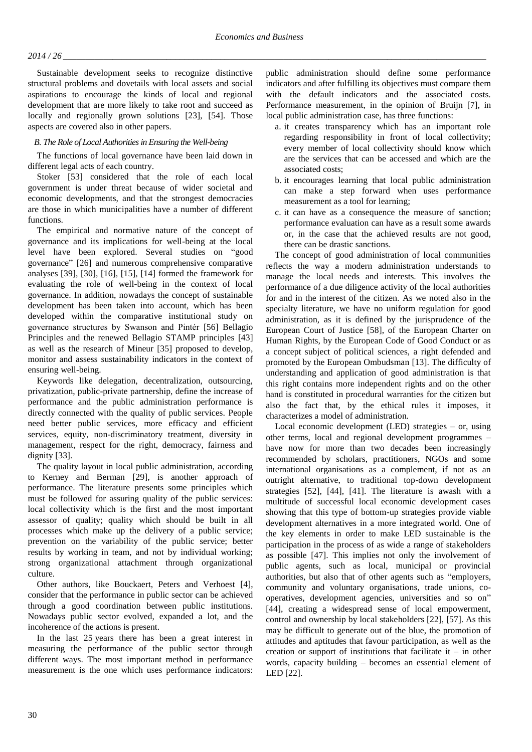# *2014 / 26 \_\_\_\_\_\_\_\_\_\_\_\_\_\_\_\_\_\_\_\_\_\_\_\_\_\_\_\_\_\_\_\_\_\_\_\_\_\_\_\_\_\_\_\_\_\_\_\_\_\_\_\_\_\_\_\_\_\_\_\_\_\_\_\_\_\_\_\_\_\_\_\_\_\_\_\_\_\_\_\_\_\_\_\_\_\_\_\_\_\_\_\_\_\_*

Sustainable development seeks to recognize distinctive structural problems and dovetails with local assets and social aspirations to encourage the kinds of local and regional development that are more likely to take root and succeed as locally and regionally grown solutions [23], [54]. Those aspects are covered also in other papers.

# *B. The Role of Local Authorities in Ensuring the Well-being*

The functions of local governance have been laid down in different legal acts of each country.

Stoker [53] considered that the role of each local government is under threat because of wider societal and economic developments, and that the strongest democracies are those in which municipalities have a number of different functions.

The empirical and normative nature of the concept of governance and its implications for well-being at the local level have been explored. Several studies on "good governance" [26] and numerous comprehensive comparative analyses [39], [30], [16], [15], [14] formed the framework for evaluating the role of well-being in the context of local governance. In addition, nowadays the concept of sustainable development has been taken into account, which has been developed within the comparative institutional study on governance structures by Swanson and Pintér [56] Bellagio Principles and the renewed Bellagio STAMP principles [43] as well as the research of Mineur [35] proposed to develop, monitor and assess sustainability indicators in the context of ensuring well-being.

Keywords like delegation, decentralization, outsourcing, privatization, public-private partnership, define the increase of performance and the public administration performance is directly connected with the quality of public services. People need better public services, more efficacy and efficient services, equity, non-discriminatory treatment, diversity in management, respect for the right, democracy, fairness and dignity [33].

The quality layout in local public administration, according to Kerney and Berman [29], is another approach of performance. The literature presents some principles which must be followed for assuring quality of the public services: local collectivity which is the first and the most important assessor of quality; quality which should be built in all processes which make up the delivery of a public service; prevention on the variability of the public service; better results by working in team, and not by individual working; strong organizational attachment through organizational culture.

Other authors, like Bouckaert, Peters and Verhoest [4], consider that the performance in public sector can be achieved through a good coordination between public institutions. Nowadays public sector evolved, expanded a lot, and the incoherence of the actions is present.

In the last 25 years there has been a great interest in measuring the performance of the public sector through different ways. The most important method in performance measurement is the one which uses performance indicators: public administration should define some performance indicators and after fulfilling its objectives must compare them with the default indicators and the associated costs. Performance measurement, in the opinion of Bruijn [7], in local public administration case, has three functions:

- a. it creates transparency which has an important role regarding responsibility in front of local collectivity; every member of local collectivity should know which are the services that can be accessed and which are the associated costs;
- b. it encourages learning that local public administration can make a step forward when uses performance measurement as a tool for learning;
- c. it can have as a consequence the measure of sanction; performance evaluation can have as a result some awards or, in the case that the achieved results are not good, there can be drastic sanctions.

The concept of good administration of local communities reflects the way a modern administration understands to manage the local needs and interests. This involves the performance of a due diligence activity of the local authorities for and in the interest of the citizen. As we noted also in the specialty literature, we have no uniform regulation for good administration, as it is defined by the jurisprudence of the European Court of Justice [58], of the European Charter on Human Rights, by the European Code of Good Conduct or as a concept subject of political sciences, a right defended and promoted by the European Ombudsman [13]. The difficulty of understanding and application of good administration is that this right contains more independent rights and on the other hand is constituted in procedural warranties for the citizen but also the fact that, by the ethical rules it imposes, it characterizes a model of administration.

Local economic development (LED) strategies – or, using other terms, local and regional development programmes – have now for more than two decades been increasingly recommended by scholars, practitioners, NGOs and some international organisations as a complement, if not as an outright alternative, to traditional top-down development strategies [52], [44], [41]. The literature is awash with a multitude of successful local economic development cases showing that this type of bottom-up strategies provide viable development alternatives in a more integrated world. One of the key elements in order to make LED sustainable is the participation in the process of as wide a range of stakeholders as possible [47]. This implies not only the involvement of public agents, such as local, municipal or provincial authorities, but also that of other agents such as "employers, community and voluntary organisations, trade unions, cooperatives, development agencies, universities and so on" [44], creating a widespread sense of local empowerment, control and ownership by local stakeholders [22], [57]. As this may be difficult to generate out of the blue, the promotion of attitudes and aptitudes that favour participation, as well as the creation or support of institutions that facilitate it – in other words, capacity building – becomes an essential element of LED [22].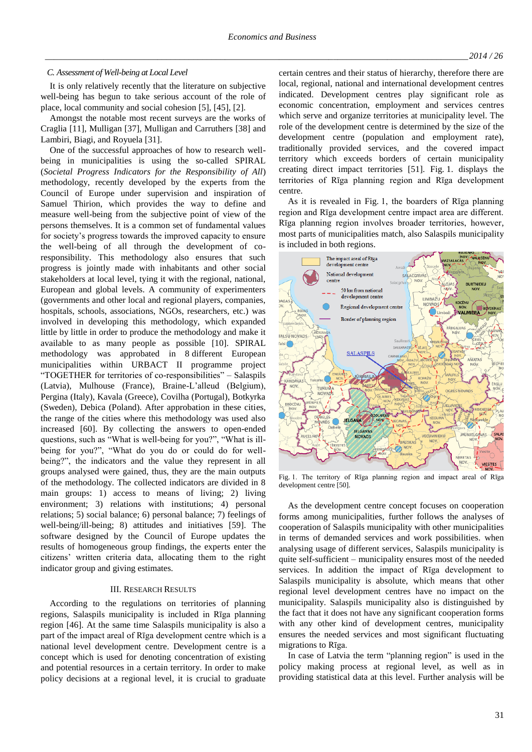#### *C. Assessment of Well-being at Local Level*

It is only relatively recently that the literature on subjective well-being has begun to take serious account of the role of place, local community and social cohesion [5], [45], [2].

Amongst the notable most recent surveys are the works of Craglia [11], Mulligan [37], Mulligan and Carruthers [38] and Lambiri, Biagi, and Royuela [31].

One of the successful approaches of how to research wellbeing in municipalities is using the so-called SPIRAL (*Societal Progress Indicators for the Responsibility of All*) methodology, recently developed by the experts from the Council of Europe under supervision and inspiration of Samuel Thirion, which provides the way to define and measure well-being from the subjective point of view of the persons themselves. It is a common set of fundamental values for society's progress towards the improved capacity to ensure the well-being of all through the development of coresponsibility. This methodology also ensures that such progress is jointly made with inhabitants and other social stakeholders at local level, tying it with the regional, national, European and global levels. A community of experimenters (governments and other local and regional players, companies, hospitals, schools, associations, NGOs, researchers, etc.) was involved in developing this methodology, which expanded little by little in order to produce the methodology and make it available to as many people as possible [10]. SPIRAL methodology was approbated in 8 different European municipalities within URBACT II programme project "TOGETHER for territories of co-responsibilities" – Salaspils (Latvia), Mulhouse (France), Braine-L'alleud (Belgium), Pergina (Italy), Kavala (Greece), Covilha (Portugal), Botkyrka (Sweden), Debica (Poland). After approbation in these cities, the range of the cities where this methodology was used also increased [60]. By collecting the answers to open-ended questions, such as "What is well-being for you?", "What is illbeing for you?", "What do you do or could do for wellbeing?", the indicators and the value they represent in all groups analysed were gained, thus, they are the main outputs of the methodology. The collected indicators are divided in 8 main groups: 1) access to means of living; 2) living environment; 3) relations with institutions; 4) personal relations; 5) social balance; 6) personal balance; 7) feelings of well-being/ill-being; 8) attitudes and initiatives [59]. The software designed by the Council of Europe updates the results of homogeneous group findings, the experts enter the citizens' written criteria data, allocating them to the right indicator group and giving estimates.

## III. RESEARCH RESULTS

According to the regulations on territories of planning regions, Salaspils municipality is included in Rīga planning region [46]. At the same time Salaspils municipality is also a part of the impact areal of Rīga development centre which is a national level development centre. Development centre is a concept which is used for denoting concentration of existing and potential resources in a certain territory. In order to make policy decisions at a regional level, it is crucial to graduate certain centres and their status of hierarchy, therefore there are local, regional, national and international development centres indicated. Development centres play significant role as economic concentration, employment and services centres which serve and organize territories at municipality level. The role of the development centre is determined by the size of the development centre (population and employment rate), traditionally provided services, and the covered impact territory which exceeds borders of certain municipality creating direct impact territories [51]. Fig. 1. displays the territories of Rīga planning region and Rīga development centre.

As it is revealed in Fig. 1, the boarders of Rīga planning region and Rīga development centre impact area are different. Rīga planning region involves broader territories, however, most parts of municipalities match, also Salaspils municipality is included in both regions.



Fig. 1. The territory of Rīga planning region and impact areal of Rīga development centre [50].

As the development centre concept focuses on cooperation forms among municipalities, further follows the analyses of cooperation of Salaspils municipality with other municipalities in terms of demanded services and work possibilities. when analysing usage of different services, Salaspils municipality is quite self-sufficient – municipality ensures most of the needed services. In addition the impact of Rīga development to Salaspils municipality is absolute, which means that other regional level development centres have no impact on the municipality. Salaspils municipality also is distinguished by the fact that it does not have any significant cooperation forms with any other kind of development centres, municipality ensures the needed services and most significant fluctuating migrations to Rīga.

In case of Latvia the term "planning region" is used in the policy making process at regional level, as well as in providing statistical data at this level. Further analysis will be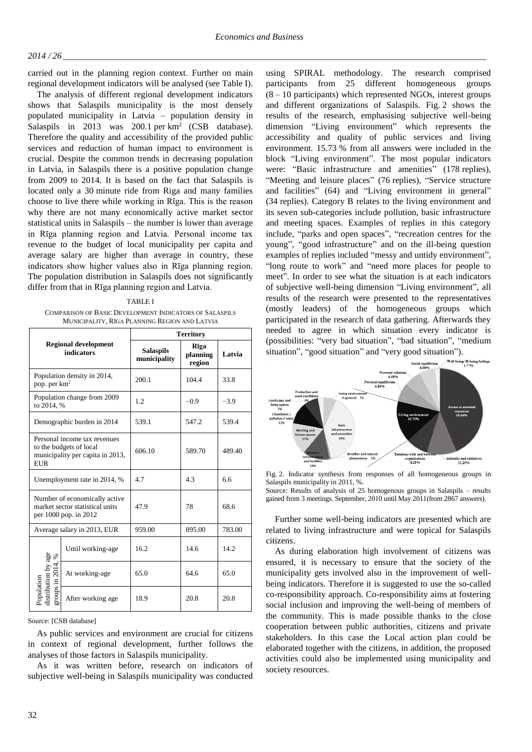## *2014 / 26 \_\_\_\_\_\_\_\_\_\_\_\_\_\_\_\_\_\_\_\_\_\_\_\_\_\_\_\_\_\_\_\_\_\_\_\_\_\_\_\_\_\_\_\_\_\_\_\_\_\_\_\_\_\_\_\_\_\_\_\_\_\_\_\_\_\_\_\_\_\_\_\_\_\_\_\_\_\_\_\_\_\_\_\_\_\_\_\_\_\_\_\_\_\_*

carried out in the planning region context. Further on main regional development indicators will be analysed (see Table I).

The analysis of different regional development indicators shows that Salaspils municipality is the most densely populated municipality in Latvia – population density in Salaspils in 2013 was 200.1 per  $km^2$  (CSB database). Therefore the quality and accessibility of the provided public services and reduction of human impact to environment is crucial. Despite the common trends in decreasing population in Latvia, in Salaspils there is a positive population change from 2009 to 2014. It is based on the fact that Salaspils is located only a 30 minute ride from Riga and many families choose to live there while working in Rīga. This is the reason why there are not many economically active market sector statistical units in Salaspils – the number is lower than average in Rīga planning region and Latvia. Personal income tax revenue to the budget of local municipality per capita and average salary are higher than average in country, these indicators show higher values also in Rīga planning region. The population distribution in Salaspils does not significantly differ from that in Rīga planning region and Latvia.

#### TABLE I

COMPARISON OF BASIC DEVELOPMENT INDICATORS OF SALASPILS MUNICIPALITY, RĪGA PLANNING REGION AND LATVIA

| <b>Regional development</b><br><b>indicators</b>                                                          |                   | <b>Territory</b>                 |                                    |        |  |
|-----------------------------------------------------------------------------------------------------------|-------------------|----------------------------------|------------------------------------|--------|--|
|                                                                                                           |                   | <b>Salaspils</b><br>municipality | <b>R</b> īga<br>planning<br>region | Latvia |  |
| Population density in 2014,<br>pop. per $km^2$                                                            |                   | 200.1                            | 104.4                              | 33.8   |  |
| Population change from 2009<br>to 2014. %                                                                 |                   | 1.2                              | $-0.9$                             | $-3.9$ |  |
| Demographic burden in 2014                                                                                |                   | 539.1                            | 547.2                              | 539.4  |  |
| Personal income tax revenues<br>to the budgets of local<br>municipality per capita in 2013,<br><b>EUR</b> |                   | 606.10                           | 589.70                             | 489.40 |  |
| Unemployment rate in 2014, %                                                                              |                   | 47                               | 4.3                                | 66     |  |
| Number of economically active<br>market sector statistical units<br>per 1000 pop. in 2012                 |                   | 47.9                             | 78                                 | 68.6   |  |
| Average salary in 2013, EUR                                                                               |                   | 959.00                           | 895.00                             | 783.00 |  |
| Population<br>distribution by age<br>groups in 2014, %                                                    | Until working-age | 16.2                             | 14.6                               | 14.2   |  |
|                                                                                                           | At working-age    | 65.0                             | 64.6                               | 65.0   |  |
|                                                                                                           | After working age | 18.9                             | 20.8                               | 20.8   |  |

Source: [CSB database]

As public services and environment are crucial for citizens in context of regional development, further follows the analyses of those factors in Salaspils municipality.

As it was written before, research on indicators of subjective well-being in Salaspils municipality was conducted using SPIRAL methodology. The research comprised participants from 25 different homogeneous groups  $(8 - 10$  participants) which represented NGOs, interest groups and different organizations of Salaspils. Fig. 2 shows the results of the research, emphasising subjective well-being dimension "Living environment" which represents the accessibility and quality of public services and living environment. 15.73 % from all answers were included in the block "Living environment". The most popular indicators were: "Basic infrastructure and amenities" (178 replies), "Meeting and leisure places" (76 replies), "Service structure and facilities" (64) and "Living environment in general" (34 replies). Category B relates to the living environment and its seven sub-categories include pollution, basic infrastructure and meeting spaces. Examples of replies in this category include, "parks and open spaces", "recreation centres for the young", "good infrastructure" and on the ill-being question examples of replies included "messy and untidy environment", "long route to work" and "need more places for people to meet". In order to see what the situation is at each indicators of subjective well-being dimension "Living environment", all results of the research were presented to the representatives (mostly leaders) of the homogeneous groups which participated in the research of data gathering. Afterwards they needed to agree in which situation every indicator is (possibilities: "very bad situation", "bad situation", "medium situation", "good situation" and "very good situation").



Fig. 2. Indicator synthesis from responses of all homogeneous groups in Salaspils municipality in 2011, %.

Source: Results of analysis of 25 homogenous groups in Salaspils – results gained from 3 meetings. September, 2010 until May 2011(from 2867 answers).

Further some well-being indicators are presented which are related to living infrastructure and were topical for Salaspils citizens.

As during elaboration high involvement of citizens was ensured, it is necessary to ensure that the society of the municipality gets involved also in the improvement of wellbeing indicators. Therefore it is suggested to use the so-called co-responsibility approach. Co-responsibility aims at fostering social inclusion and improving the well-being of members of the community. This is made possible thanks to the close cooperation between public authorities, citizens and private stakeholders. In this case the Local action plan could be elaborated together with the citizens, in addition, the proposed activities could also be implemented using municipality and society resources.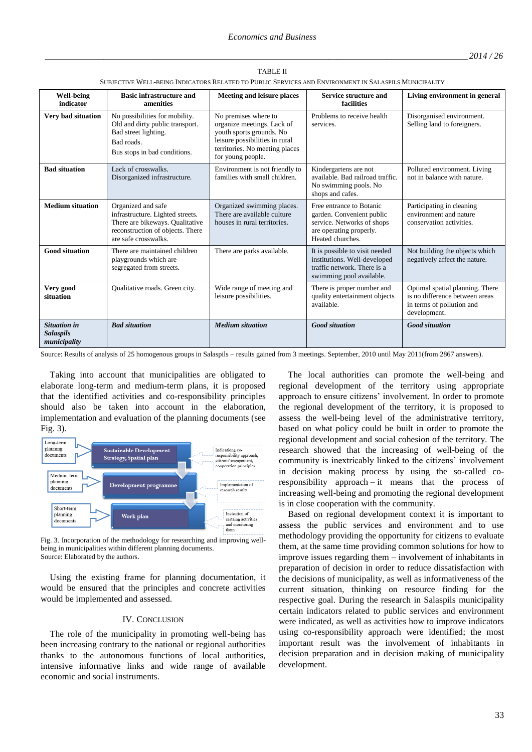TABLE II

| SUBJECTIVE WELL-BEING INDICATORS RELATED TO PUBLIC SERVICES AND ENVIRONMENT IN SALASPILS MUNICIPALITY |                                                                                                                                                       |                                                                                                                                                                         |                                                                                                                                    |                                                                                                                |  |  |
|-------------------------------------------------------------------------------------------------------|-------------------------------------------------------------------------------------------------------------------------------------------------------|-------------------------------------------------------------------------------------------------------------------------------------------------------------------------|------------------------------------------------------------------------------------------------------------------------------------|----------------------------------------------------------------------------------------------------------------|--|--|
| <b>Well-being</b><br>indicator                                                                        | <b>Basic infrastructure and</b><br>amenities                                                                                                          | Meeting and leisure places                                                                                                                                              | Service structure and<br>facilities                                                                                                | Living environment in general                                                                                  |  |  |
| Very bad situation                                                                                    | No possibilities for mobility.<br>Old and dirty public transport.<br>Bad street lighting.<br>Bad roads.<br>Bus stops in bad conditions.               | No premises where to<br>organize meetings. Lack of<br>youth sports grounds. No<br>leisure possibilities in rural<br>territories. No meeting places<br>for young people. | Problems to receive health<br>services.                                                                                            | Disorganised environment.<br>Selling land to foreigners.                                                       |  |  |
| <b>Bad situation</b>                                                                                  | Lack of crosswalks.<br>Disorganized infrastructure.                                                                                                   | Environment is not friendly to<br>families with small children.                                                                                                         | Kindergartens are not<br>available. Bad railroad traffic.<br>No swimming pools. No<br>shops and cafes.                             | Polluted environment. Living<br>not in balance with nature.                                                    |  |  |
| <b>Medium situation</b>                                                                               | Organized and safe<br>infrastructure. Lighted streets.<br>There are bikeways. Qualitative<br>reconstruction of objects. There<br>are safe crosswalks. | Organized swimming places.<br>There are available culture<br>houses in rural territories.                                                                               | Free entrance to Botanic<br>garden. Convenient public<br>service. Networks of shops<br>are operating properly.<br>Heated churches. | Participating in cleaning<br>environment and nature<br>conservation activities.                                |  |  |
| <b>Good situation</b>                                                                                 | There are maintained children<br>playgrounds which are<br>segregated from streets.                                                                    | There are parks available.                                                                                                                                              | It is possible to visit needed<br>institutions. Well-developed<br>traffic network. There is a<br>swimming pool available.          | Not building the objects which<br>negatively affect the nature.                                                |  |  |
| Very good<br>situation                                                                                | Qualitative roads. Green city.                                                                                                                        | Wide range of meeting and<br>leisure possibilities.                                                                                                                     | There is proper number and<br>quality entertainment objects<br>available.                                                          | Optimal spatial planning. There<br>is no difference between areas<br>in terms of pollution and<br>development. |  |  |
| <b>Situation in</b><br><b>Salaspils</b><br>municipality                                               | <b>Bad situation</b>                                                                                                                                  | <b>Medium</b> situation                                                                                                                                                 | <b>Good</b> situation                                                                                                              | <b>Good</b> situation                                                                                          |  |  |

Source: Results of analysis of 25 homogenous groups in Salaspils – results gained from 3 meetings. September, 2010 until May 2011(from 2867 answers).

Taking into account that municipalities are obligated to elaborate long-term and medium-term plans, it is proposed that the identified activities and co-responsibility principles should also be taken into account in the elaboration, implementation and evaluation of the planning documents (see Fig. 3).



Fig. 3. Incorporation of the methodology for researching and improving wellbeing in municipalities within different planning documents. Source: Elaborated by the authors.

Using the existing frame for planning documentation, it would be ensured that the principles and concrete activities would be implemented and assessed.

## IV. CONCLUSION

The role of the municipality in promoting well-being has been increasing contrary to the national or regional authorities thanks to the autonomous functions of local authorities, intensive informative links and wide range of available economic and social instruments.

The local authorities can promote the well-being and regional development of the territory using appropriate approach to ensure citizens' involvement. In order to promote the regional development of the territory, it is proposed to assess the well-being level of the administrative territory, based on what policy could be built in order to promote the regional development and social cohesion of the territory. The research showed that the increasing of well-being of the community is inextricably linked to the citizens' involvement in decision making process by using the so-called coresponsibility approach – it means that the process of increasing well-being and promoting the regional development is in close cooperation with the community.

Based on regional development context it is important to assess the public services and environment and to use methodology providing the opportunity for citizens to evaluate them, at the same time providing common solutions for how to improve issues regarding them – involvement of inhabitants in preparation of decision in order to reduce dissatisfaction with the decisions of municipality, as well as informativeness of the current situation, thinking on resource finding for the respective goal. During the research in Salaspils municipality certain indicators related to public services and environment were indicated, as well as activities how to improve indicators using co-responsibility approach were identified; the most important result was the involvement of inhabitants in decision preparation and in decision making of municipality development.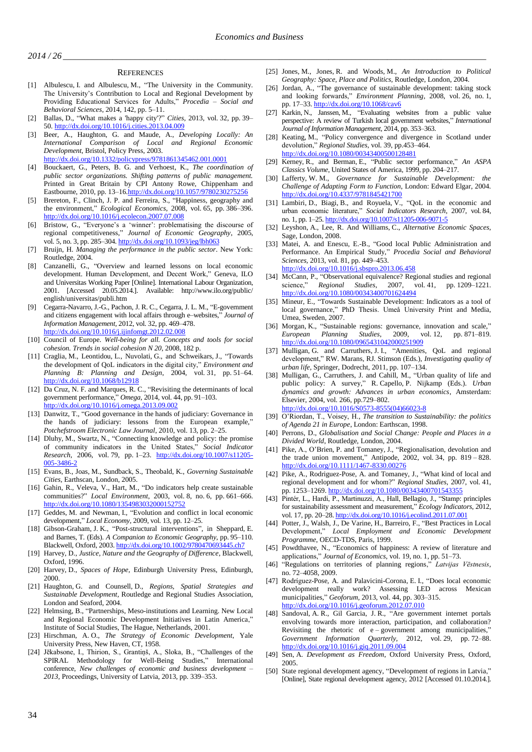*2014 / 26 \_\_\_\_\_\_\_\_\_\_\_\_\_\_\_\_\_\_\_\_\_\_\_\_\_\_\_\_\_\_\_\_\_\_\_\_\_\_\_\_\_\_\_\_\_\_\_\_\_\_\_\_\_\_\_\_\_\_\_\_\_\_\_\_\_\_\_\_\_\_\_\_\_\_\_\_\_\_\_\_\_\_\_\_\_\_\_\_\_\_\_\_\_\_*

#### **REFERENCES**

- [1] Albulescu, I. and Albulescu, M., "The University in the Community. The University's Contribution to Local and Regional Development by Providing Educational Services for Adults," *Procedia – Social and Behavioral Sciences*, 2014, 142, pp. 5–11.
- [2] Ballas*,* D., "What makes a 'happy city'?" *Cities,* 2013, vol. 32, pp. 39– 50. <http://dx.doi.org/10.1016/j.cities.2013.04.009>
- [3] Beer, A., Haughton, G. and Maude, A., *Developing Locally: An International Comparison of Local and Regional Economic Development*, Bristol, Policy Press, 2003. <http://dx.doi.org/10.1332/policypress/9781861345462.001.0001>
- [4] Bouckaert, G., Peters, B. G. and Verhoest, K., *The coordination of public sector organizations. Shifting patterns of public management.*  Printed in Great Britain by CPI Antony Rowe, Chippenham and Eastbourne, 2010, pp. 13–1[6.http://dx.doi.org/10.1057/9780230275256](http://dx.doi.org/10.1057/9780230275256)
- [5] Brereton, F., Clinch, J. P. and Ferreira, S., "Happiness, geography and the environment," *Ecological Economics*, 2008, vol. 65, pp. 386–396. <http://dx.doi.org/10.1016/j.ecolecon.2007.07.008>
- [6] Bristow, G., "Everyone's a 'winner': problematising the discourse of regional competitiveness," *Journal of Economic Geography*, 2005, vol. 5, no. 3, pp. 285-304. <http://dx.doi.org/10.1093/jeg/lbh063>
- [7] Bruijn, H. *Managing the performance in the public sector*. New York: Routledge, 2004.
- [8] Canzanelli, G., "Overview and learned lessons on local economic development. Human Development, and Decent Work," Geneva, ILO and Universitas Working Paper [Online]. International Labour Organization, 2001. [Accessed 20.05.2014.]. Available: http://www.ilo.org/public/ english/universitas/publi.htm
- [9] Cegarra-Navarro, J.-G., Pachon, J. R. C., Cegarra, J. L. M., "E-government and citizens engagement with local affairs through e–websites," *Journal of Information Management,* 2012, vol. 32, pp. 469–478. <http://dx.doi.org/10.1016/j.ijinfomgt.2012.02.008>
- [10] Council of Europe. *Well-being for all. Concepts and tools for social cohesion. Trends in social cohesion N 20*, 2008, 182 p.
- [11] Craglia, M., Leontidou, L., Nuvolati, G., and Schweikars, J., "Towards the development of QoL indicators in the digital city," *Environment and Planning B: Planning and Design*, 2004, vol. 31, pp. 51–64. <http://dx.doi.org/10.1068/b12918>
- [12] Da Cruz, N. F. and Marques, R. C., "Revisiting the determinants of local government performance," *Omega,* 2014, vol. 44, pp. 91–103. <http://dx.doi.org/10.1016/j.omega.2013.09.002>
- [13] Danwitz, T., "Good governance in the hands of judiciary: Governance in the hands of judiciary: lessons from the European example," *Potchefstroom Electronic Law Journal*, 2010, vol. 13, pp. 2–25.
- [14] Dluhy, M., Swartz, N., "Connecting knowledge and policy: the promise of community indicators in the United States," *Social Indicator Research*, 2006, vol. 79, pp. 1–23. [http://dx.doi.org/10.1007/s11205-](http://dx.doi.org/10.1007/s11205-005-3486-2) [005-3486-2](http://dx.doi.org/10.1007/s11205-005-3486-2)
- [15] Evans, B., Joas, M., Sundback, S., Theobald, K., *Governing Sustainable Cities*, Earthscan, London, 2005.
- [16] Gahin, R., Veleva, V., Hart, M., "Do indicators help create sustainable communities?" *Local Environment*, 2003, vol. 8, no. 6, pp. 661–666. <http://dx.doi.org/10.1080/1354983032000152752>
- [17] Geddes, M. and Newman, I., "Evolution and conflict in local economic development," *Local Economy*, 2009, vol. 13, pp. 12–25.
- [18] Gibson-Graham, J. K., "Post-structural interventions", in Sheppard, E. and Barnes, T. (Eds). *A Companion to Economic Geography*, pp. 95–110. Blackwell, Oxford, 2003. <http://dx.doi.org/10.1002/9780470693445.ch7>
- [19] Harvey, D., *Justice, Nature and the Geography of Difference*, Blackwell, Oxford, 1996.
- [20] Harvey, D., *Spaces of Hope*, Edinburgh University Press, Edinburgh, 2000.
- [21] Haughton, G. and Counsell, D., *Regions, Spatial Strategies and Sustainable Development*, Routledge and Regional Studies Association, London and Seaford, 2004.
- [22] Helmsing, B., "Partnerships, Meso-institutions and Learning. New Local and Regional Economic Development Initiatives in Latin America," Institute of Social Studies, The Hague, Netherlands, 2001.
- [23] Hirschman, A. O., *The Strategy of Economic Development*, Yale University Press, New Haven, CT, 1958.
- [24] Jēkabsone, I., Thirion, S., Grantiņš, A., Sloka, B., "Challenges of the SPIRAL Methodology for Well-Being Studies," International conference, *New challenges of economic and business development – 2013*, Proceedings, University of Latvia, 2013, pp. 339–353.
- [25] Jones, M., Jones, R. and Woods, M., *An Introduction to Political Geography: Space, Place and Politics*, Routledge, London, 2004.
- [26] Jordan, A., "The governance of sustainable development: taking stock and looking forwards," *Environment Planning*, 2008, vol. 26, no. 1, pp. 17–33. <http://dx.doi.org/10.1068/cav6>
- [27] Karkin, N., Janssen, M., "Evaluating websites from a public value perspective: A review of Turkish local government websites," *International Journal of Information Management,* 2014, pp. 353–363.
- [28] Keating, M., "Policy convergence and divergence in Scotland under devolution," *Regional Studies*, vol. 39, pp.453–464. <http://dx.doi.org/10.1080/00343400500128481>
- [29] Kerney, R., and Berman, E., "Public sector performance," *An ASPA Classics Volume*, United States of America, 1999, pp. 204–217.
- [30] Lafferty, W. M., *Governance for Sustainable Development: the Challenge of Adapting Form to Function*, London: Edward Elgar, 2004. <http://dx.doi.org/10.4337/9781845421700>
- [31] Lambiri, D., Biagi, B., and Royuela, V., "QoL in the economic and urban economic literature," *Social Indicators Research*, 2007, vol. 84, no. 1, pp. 1–25. <http://dx.doi.org/10.1007/s11205-006-9071-5>
- [32] Leyshon, A., Lee, R. And Williams, C., *Alternative Economic Spaces*, Sage, London, 2008.
- [33] Matei, A. and Enescu, E.-B., "Good local Public Administration and Performance. An Empirical Study," *Procedia Social and Behavioral Sciences,* 2013, vol. 81, pp. 449–453. <http://dx.doi.org/10.1016/j.sbspro.2013.06.458>
- [34] McCann, P., "Observational equivalence? Regional studies and regional science," *Regional Studies*, 2007, vol. 41, pp. 1209–1221. <http://dx.doi.org/10.1080/00343400701624494>
- [35] Mineur, E., "Towards Sustainable Development: Indicators as a tool of local governance," PhD Thesis. Umeå University Print and Media, Umea, Sweden, 2007.
- [36] Morgan, K., "Sustainable regions: governance, innovation and scale," *European Planning Studies*, 2009, vol. 12, pp. 871–819. <http://dx.doi.org/10.1080/0965431042000251909>
- [37] Mulligan, G. and Carruthers, J. I., "Amenities, QoL and regional development," RW. Marans, RJ. Stimson (Eds.), *Investigating quality of urban life*, Springer, Dodrecht, 2011, pp. 107–134.
- [38] Mulligan, G., Carruthers, J. and Cahill, M., "Urban quality of life and public policy: A survey," R. Capello, P. Nijkamp (Eds.). *Urban dynamics and growth: Advances in urban economics*, Amsterdam: Elsevier, 2004, vol. 266, pp.729–802. [http://dx.doi.org/10.1016/S0573-8555\(04\)66023-8](http://dx.doi.org/10.1016/S0573-8555(04)66023-8)
- [39] O'Riordan, T., Voisey, H., *The transition to Sustainability: the politics of Agenda 21 in Europe*, London: Earthscan, 1998.
- [40] Perrons, D., *Globalisation and Social Change: People and Places in a Divided World*, Routledge, London, 2004.
- [41] Pike, A., O'Brien, P. and Tomaney, J., "Regionalisation, devolution and the trade union movement," Antipode, 2002, vol. 34, pp. 819 – 828. <http://dx.doi.org/10.1111/1467-8330.00276>
- [42] Pike, A., Rodriguez-Pose, A. and Tomaney, J., "What kind of local and regional development and for whom?" *Regional Studies,* 2007, vol. 41, pp. 1253-1269. <http://dx.doi.org/10.1080/00343400701543355>
- [43] Pintér, L., Hardi, P., Martinuzzi, A., Hall, Bellagio, J., "Stamp: principles for sustainability assessment and measurement," *Ecology Indicators*, 2012, vol. 17, pp. 20–28. <http://dx.doi.org/10.1016/j.ecolind.2011.07.001>
- [44] Potter, J., Walsh, J., De Varine, H., Barreiro, F., "Best Practices in Local Development," *Local Employment and Economic Development Programme*, OECD-TDS, Paris, 1999.
- [45] Powdthavee, N., "Economics of happiness: A review of literature and applications," *Journal of Economics*, vol. 19, no. 1, pp. 51–73.
- [46] "Regulations on territories of planning regions," *Latvijas Vēstnesis*, no. 72–4058, 2009.
- [47] Rodríguez-Pose, A. and Palavicini-Corona, E. I., "Does local economic development really work? Assessing LED across Mexican municipalities," *Geoforum,* 2013, vol. 44, pp. 303–315. <http://dx.doi.org/10.1016/j.geoforum.2012.07.010>
- [48] Sandoval, A. R., Gil Garcia, J. R., "Are government internet portals envolving towards more interaction, participation, and collaboration? Revisiting the rhetoric of e – government among municipalities," *Government Information Quarterly,* 2012, vol. 29, pp. 72–88. <http://dx.doi.org/10.1016/j.giq.2011.09.004>
- [49] Sen, A. *Development as Freedom*, Oxford University Press, Oxford, 2005.
- [50] State regional development agency, "Development of regions in Latvia," [Online], State regional development agency, 2012 [Accessed 01.10.2014.].